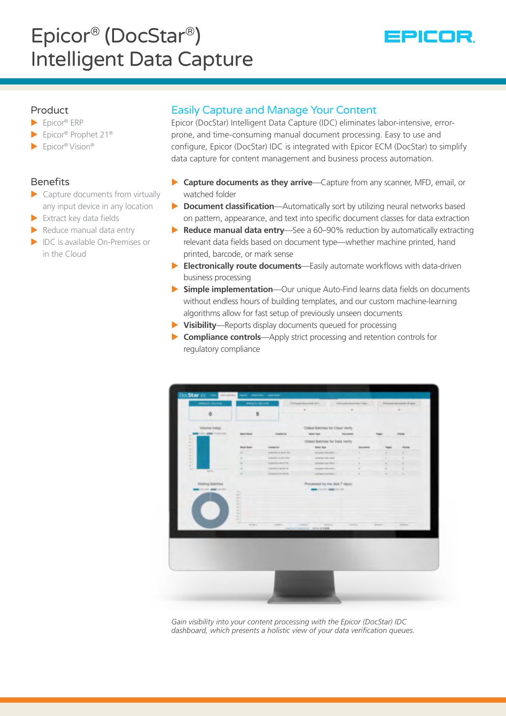# Epicor® (DocStar®) Intelligent Data Capture



# Product

- $\blacktriangleright$  Epicor® ERP
- ▶ Epicor® Prophet 21<sup>®</sup>
- $\blacktriangleright$  Epicor® Vision®

# Benefits

- $\blacktriangleright$  Capture documents from virtually any input device in any location
- $\blacktriangleright$  Extract key data fields
- $\blacktriangleright$  Reduce manual data entry
- $\blacktriangleright$  IDC is available On-Premises or in the Cloud

# Easily Capture and Manage Your Content

Epicor (DocStar) Intelligent Data Capture (IDC) eliminates labor-intensive, errorprone, and time-consuming manual document processing. Easy to use and configure, Epicor (DocStar) IDC is integrated with Epicor ECM (DocStar) to simplify data capture for content management and business process automation.

- ▶ **Capture documents as they arrive**—Capture from any scanner, MFD, email, or watched folder
- ▶ **Document classification**—Automatically sort by utilizing neural networks based on pattern, appearance, and text into specific document classes for data extraction
- ▶ **Reduce manual data entry**—See a 60–90% reduction by automatically extracting relevant data fields based on document type—whether machine printed, hand printed, barcode, or mark sense
- ▶ **Electronically route documents**—Easily automate workflows with data-driven business processing
- **> Simple implementation**—Our unique Auto-Find learns data fields on documents without endless hours of building templates, and our custom machine-learning algorithms allow for fast setup of previously unseen documents
- X **Visibility**—Reports display documents queued for processing
- ▶ **Compliance controls**—Apply strict processing and retention controls for regulatory compliance



*Gain visibility into your content processing with the Epicor (DocStar) IDC dashboard, which presents a holistic view of your data verification queues.*